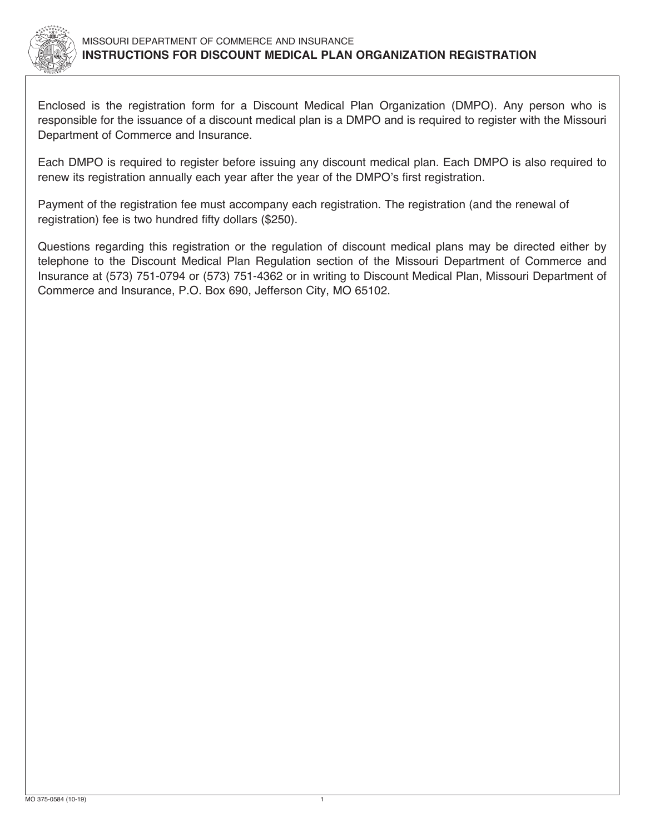

Enclosed is the registration form for a Discount Medical Plan Organization (DMPO). Any person who is responsible for the issuance of a discount medical plan is a DMPO and is required to register with the Missouri Department of Commerce and Insurance.

Each DMPO is required to register before issuing any discount medical plan. Each DMPO is also required to renew its registration annually each year after the year of the DMPO's first registration.

Payment of the registration fee must accompany each registration. The registration (and the renewal of registration) fee is two hundred fifty dollars (\$250).

Questions regarding this registration or the regulation of discount medical plans may be directed either by telephone to the Discount Medical Plan Regulation section of the Missouri Department of Commerce and Insurance at (573) 751-0794 or (573) 751-4362 or in writing to Discount Medical Plan, Missouri Department of Commerce and Insurance, P.O. Box 690, Jefferson City, MO 65102.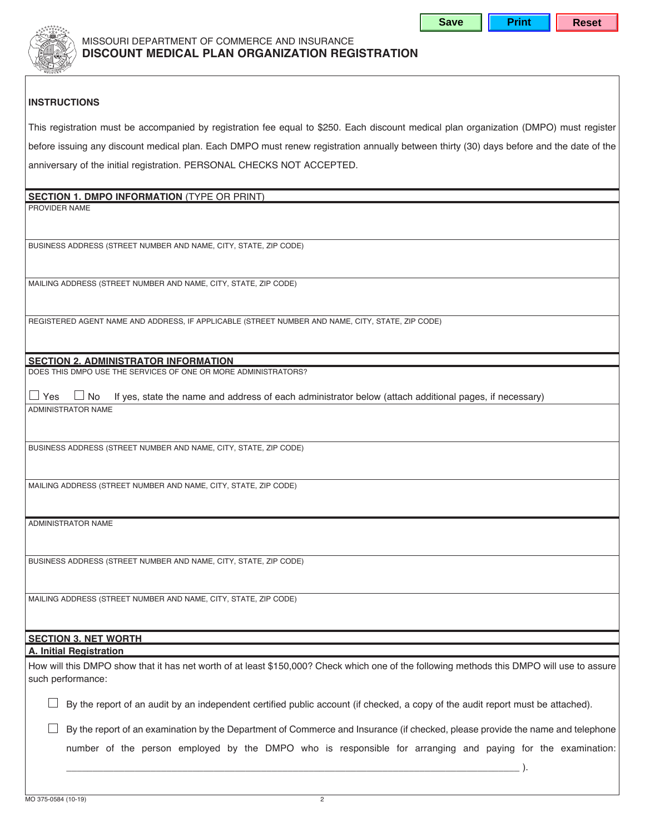

## **INSTRUCTIONS**

This registration must be accompanied by registration fee equal to \$250. Each discount medical plan organization (DMPO) must register before issuing any discount medical plan. Each DMPO must renew registration annually between thirty (30) days before and the date of the anniversary of the initial registration. PERSONAL CHECKS NOT ACCEPTED.

| <b>SECTION 1. DMPO INFORMATION (TYPE OR PRINT)</b>                                                                                         |  |  |  |  |  |
|--------------------------------------------------------------------------------------------------------------------------------------------|--|--|--|--|--|
| PROVIDER NAME                                                                                                                              |  |  |  |  |  |
|                                                                                                                                            |  |  |  |  |  |
|                                                                                                                                            |  |  |  |  |  |
| BUSINESS ADDRESS (STREET NUMBER AND NAME, CITY, STATE, ZIP CODE)                                                                           |  |  |  |  |  |
|                                                                                                                                            |  |  |  |  |  |
|                                                                                                                                            |  |  |  |  |  |
| MAILING ADDRESS (STREET NUMBER AND NAME, CITY, STATE, ZIP CODE)                                                                            |  |  |  |  |  |
|                                                                                                                                            |  |  |  |  |  |
|                                                                                                                                            |  |  |  |  |  |
| REGISTERED AGENT NAME AND ADDRESS, IF APPLICABLE (STREET NUMBER AND NAME, CITY, STATE, ZIP CODE)                                           |  |  |  |  |  |
|                                                                                                                                            |  |  |  |  |  |
|                                                                                                                                            |  |  |  |  |  |
| <b>SECTION 2. ADMINISTRATOR INFORMATION</b>                                                                                                |  |  |  |  |  |
| DOES THIS DMPO USE THE SERVICES OF ONE OR MORE ADMINISTRATORS?                                                                             |  |  |  |  |  |
|                                                                                                                                            |  |  |  |  |  |
| $\Box$ Yes<br>If yes, state the name and address of each administrator below (attach additional pages, if necessary)<br>No                 |  |  |  |  |  |
| ADMINISTRATOR NAME                                                                                                                         |  |  |  |  |  |
|                                                                                                                                            |  |  |  |  |  |
|                                                                                                                                            |  |  |  |  |  |
| BUSINESS ADDRESS (STREET NUMBER AND NAME, CITY, STATE, ZIP CODE)                                                                           |  |  |  |  |  |
|                                                                                                                                            |  |  |  |  |  |
| MAILING ADDRESS (STREET NUMBER AND NAME, CITY, STATE, ZIP CODE)                                                                            |  |  |  |  |  |
|                                                                                                                                            |  |  |  |  |  |
|                                                                                                                                            |  |  |  |  |  |
| <b>ADMINISTRATOR NAME</b>                                                                                                                  |  |  |  |  |  |
|                                                                                                                                            |  |  |  |  |  |
|                                                                                                                                            |  |  |  |  |  |
| BUSINESS ADDRESS (STREET NUMBER AND NAME, CITY, STATE, ZIP CODE)                                                                           |  |  |  |  |  |
|                                                                                                                                            |  |  |  |  |  |
|                                                                                                                                            |  |  |  |  |  |
| MAILING ADDRESS (STREET NUMBER AND NAME, CITY, STATE, ZIP CODE)                                                                            |  |  |  |  |  |
|                                                                                                                                            |  |  |  |  |  |
|                                                                                                                                            |  |  |  |  |  |
| <b>SECTION 3. NET WORTH</b>                                                                                                                |  |  |  |  |  |
| <b>A. Initial Registration</b>                                                                                                             |  |  |  |  |  |
| How will this DMPO show that it has net worth of at least \$150,000? Check which one of the following methods this DMPO will use to assure |  |  |  |  |  |
| such performance:                                                                                                                          |  |  |  |  |  |
|                                                                                                                                            |  |  |  |  |  |
| By the report of an audit by an independent certified public account (if checked, a copy of the audit report must be attached).            |  |  |  |  |  |
|                                                                                                                                            |  |  |  |  |  |
| By the report of an examination by the Department of Commerce and Insurance (if checked, please provide the name and telephone             |  |  |  |  |  |
|                                                                                                                                            |  |  |  |  |  |
| number of the person employed by the DMPO who is responsible for arranging and paying for the examination:                                 |  |  |  |  |  |
|                                                                                                                                            |  |  |  |  |  |

\_\_\_\_\_\_\_\_\_\_\_\_\_\_\_\_\_\_\_\_\_\_\_\_\_\_\_\_\_\_\_\_\_\_\_\_\_\_\_\_\_\_\_\_\_\_\_\_\_\_\_\_\_\_\_\_\_\_\_\_\_\_\_\_\_\_\_\_\_\_\_\_\_\_\_\_\_\_\_\_\_\_\_\_\_\_ ).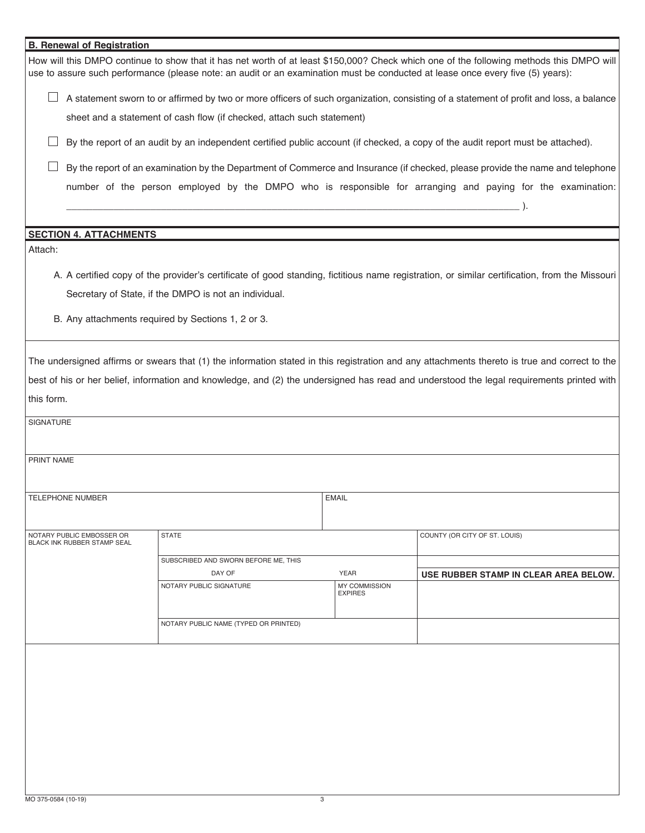| <b>B. Renewal of Registration</b>                                                                                                                                                                                                                                                                                     |                                                                                                                                        |                                                    |                              |                                       |  |
|-----------------------------------------------------------------------------------------------------------------------------------------------------------------------------------------------------------------------------------------------------------------------------------------------------------------------|----------------------------------------------------------------------------------------------------------------------------------------|----------------------------------------------------|------------------------------|---------------------------------------|--|
| How will this DMPO continue to show that it has net worth of at least \$150,000? Check which one of the following methods this DMPO will<br>use to assure such performance (please note: an audit or an examination must be conducted at lease once every five (5) years):                                            |                                                                                                                                        |                                                    |                              |                                       |  |
|                                                                                                                                                                                                                                                                                                                       | A statement sworn to or affirmed by two or more officers of such organization, consisting of a statement of profit and loss, a balance |                                                    |                              |                                       |  |
|                                                                                                                                                                                                                                                                                                                       | sheet and a statement of cash flow (if checked, attach such statement)                                                                 |                                                    |                              |                                       |  |
|                                                                                                                                                                                                                                                                                                                       | By the report of an audit by an independent certified public account (if checked, a copy of the audit report must be attached).        |                                                    |                              |                                       |  |
|                                                                                                                                                                                                                                                                                                                       | By the report of an examination by the Department of Commerce and Insurance (if checked, please provide the name and telephone         |                                                    |                              |                                       |  |
|                                                                                                                                                                                                                                                                                                                       | number of the person employed by the DMPO who is responsible for arranging and paying for the examination:                             |                                                    |                              |                                       |  |
| <b>SECTION 4. ATTACHMENTS</b>                                                                                                                                                                                                                                                                                         |                                                                                                                                        |                                                    |                              |                                       |  |
| Attach:                                                                                                                                                                                                                                                                                                               |                                                                                                                                        |                                                    |                              |                                       |  |
| A. A certified copy of the provider's certificate of good standing, fictitious name registration, or similar certification, from the Missouri                                                                                                                                                                         |                                                                                                                                        |                                                    |                              |                                       |  |
| Secretary of State, if the DMPO is not an individual.                                                                                                                                                                                                                                                                 |                                                                                                                                        |                                                    |                              |                                       |  |
|                                                                                                                                                                                                                                                                                                                       |                                                                                                                                        |                                                    |                              |                                       |  |
|                                                                                                                                                                                                                                                                                                                       |                                                                                                                                        | B. Any attachments required by Sections 1, 2 or 3. |                              |                                       |  |
| The undersigned affirms or swears that (1) the information stated in this registration and any attachments thereto is true and correct to the<br>best of his or her belief, information and knowledge, and (2) the undersigned has read and understood the legal requirements printed with<br>this form.<br>SIGNATURE |                                                                                                                                        |                                                    |                              |                                       |  |
|                                                                                                                                                                                                                                                                                                                       |                                                                                                                                        |                                                    |                              |                                       |  |
| PRINT NAME                                                                                                                                                                                                                                                                                                            |                                                                                                                                        |                                                    |                              |                                       |  |
| TELEPHONE NUMBER<br><b>EMAIL</b>                                                                                                                                                                                                                                                                                      |                                                                                                                                        |                                                    |                              |                                       |  |
|                                                                                                                                                                                                                                                                                                                       |                                                                                                                                        |                                                    |                              |                                       |  |
|                                                                                                                                                                                                                                                                                                                       | NOTARY PUBLIC EMBOSSER OR<br>BLACK INK RUBBER STAMP SEAL                                                                               | <b>STATE</b>                                       |                              | COUNTY (OR CITY OF ST. LOUIS)         |  |
|                                                                                                                                                                                                                                                                                                                       |                                                                                                                                        | SUBSCRIBED AND SWORN BEFORE ME, THIS               |                              |                                       |  |
|                                                                                                                                                                                                                                                                                                                       |                                                                                                                                        | DAY OF<br>NOTARY PUBLIC SIGNATURE                  | <b>YEAR</b><br>MY COMMISSION | USE RUBBER STAMP IN CLEAR AREA BELOW. |  |
|                                                                                                                                                                                                                                                                                                                       |                                                                                                                                        |                                                    | <b>EXPIRES</b>               |                                       |  |
|                                                                                                                                                                                                                                                                                                                       |                                                                                                                                        | NOTARY PUBLIC NAME (TYPED OR PRINTED)              |                              |                                       |  |
|                                                                                                                                                                                                                                                                                                                       |                                                                                                                                        |                                                    |                              |                                       |  |
|                                                                                                                                                                                                                                                                                                                       |                                                                                                                                        |                                                    |                              |                                       |  |
|                                                                                                                                                                                                                                                                                                                       |                                                                                                                                        |                                                    |                              |                                       |  |
|                                                                                                                                                                                                                                                                                                                       |                                                                                                                                        |                                                    |                              |                                       |  |
|                                                                                                                                                                                                                                                                                                                       |                                                                                                                                        |                                                    |                              |                                       |  |
|                                                                                                                                                                                                                                                                                                                       |                                                                                                                                        |                                                    |                              |                                       |  |
|                                                                                                                                                                                                                                                                                                                       |                                                                                                                                        |                                                    |                              |                                       |  |
|                                                                                                                                                                                                                                                                                                                       |                                                                                                                                        |                                                    |                              |                                       |  |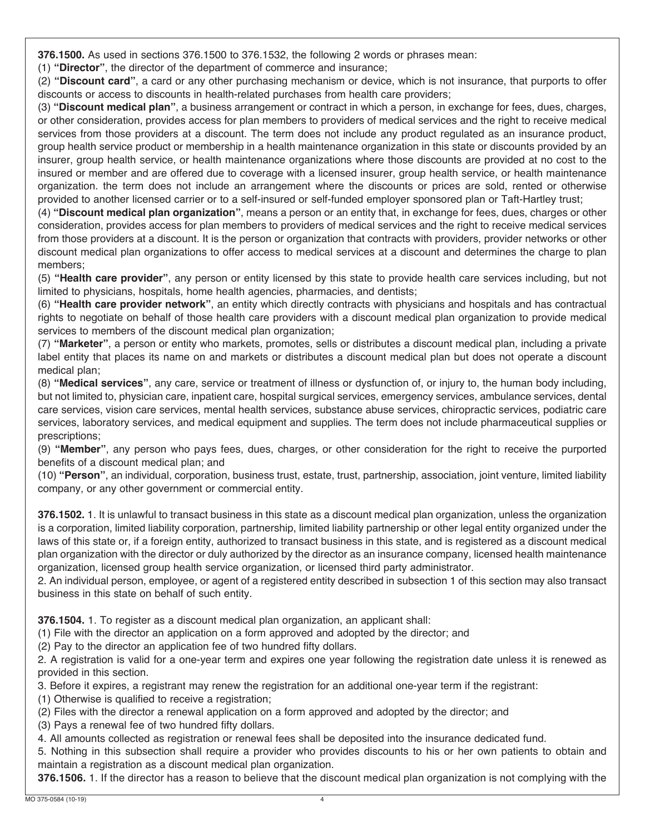**376.1500.** As used in sections 376.1500 to 376.1532, the following 2 words or phrases mean:

(1) **"Director"**, the director of the department of commerce and insurance;

(2) **"Discount card"**, a card or any other purchasing mechanism or device, which is not insurance, that purports to offe r discounts or access to discounts in health-related purchases from health care providers;

(3) **"Discount medical plan"**, a business arrangement or contract in which a person, in exchange for fees, dues, charges , or other consideration, provides access for plan members to providers of medical services and the right to receive medica l services from those providers at a discount. The term does not include any product regulated as an insurance product , group health service product or membership in a health maintenance organization in this state or discounts provided by a n insurer, group health service, or health maintenance organizations where those discounts are provided at no cost to th e insured or member and are offered due to coverage with a licensed insurer, group health service, or health maintenanc e organization. the term does not include an arrangement where the discounts or prices are sold, rented or otherwis e provided to another licensed carrier or to a self-insured or self-funded employer sponsored plan or Taft-Hartley trust;

(4) **"Discount medical plan organization"**, means a person or an entity that, in exchange for fees, dues, charges or othe r consideration, provides access for plan members to providers of medical services and the right to receive medical service s from those providers at a discount. It is the person or organization that contracts with providers, provider networks or othe r discount medical plan organizations to offer access to medical services at a discount and determines the charge to pla n members;

(5) **"Health care provider"**, any person or entity licensed by this state to provide health care services including, but no t limited to physicians, hospitals, home health agencies, pharmacies, and dentists;

(6) **"Health care provider network"**, an entity which directly contracts with physicians and hospitals and has contractua l rights to negotiate on behalf of those health care providers with a discount medical plan organization to provide medica l services to members of the discount medical plan organization;

(7) **"Marketer"**, a person or entity who markets, promotes, sells or distributes a discount medical plan, including a privat e label entity that places its name on and markets or distributes a discount medical plan but does not operate a discoun t medical plan;

(8) **"Medical services"**, any care, service or treatment of illness or dysfunction of, or injury to, the human body including , but not limited to, physician care, inpatient care, hospital surgical services, emergency services, ambulance services, denta l care services, vision care services, mental health services, substance abuse services, chiropractic services, podiatric car e services, laboratory services, and medical equipment and supplies. The term does not include pharmaceutical supplies o r prescriptions;

(9) **"Member"**, any person who pays fees, dues, charges, or other consideration for the right to receive the purporte d benefits of a discount medical plan; and

(10) **"Person"**, an individual, corporation, business trust, estate, trust, partnership, association, joint venture, limited liabilit y company, or any other government or commercial entity.

**376.1502.** 1. It is unlawful to transact business in this state as a discount medical plan organization, unless the organizatio n is a corporation, limited liability corporation, partnership, limited liability partnership or other legal entity organized under th e laws of this state or, if a foreign entity, authorized to transact business in this state, and is registered as a discount medica l plan organization with the director or duly authorized by the director as an insurance company, licensed health maintenanc e organization, licensed group health service organization, or licensed third party administrator.

2. An individual person, employee, or agent of a registered entity described in subsection 1 of this section may also transac t business in this state on behalf of such entity.

**376.1504.** 1. To register as a discount medical plan organization, an applicant shall:

(1) File with the director an application on a form approved and adopted by the director; and

(2) Pay to the director an application fee of two hundred fifty dollars.

2. A registration is valid for a one-year term and expires one year following the registration date unless it is renewed a s provided in this section.

3. Before it expires, a registrant may renew the registration for an additional one-year term if the registrant:

(1) Otherwise is qualified to receive a registration;

(2) Files with the director a renewal application on a form approved and adopted by the director; and

(3) Pays a renewal fee of two hundred fifty dollars.

4. All amounts collected as registration or renewal fees shall be deposited into the insurance dedicated fund.

5. Nothing in this subsection shall require a provider who provides discounts to his or her own patients to obtain an d maintain a registration as a discount medical plan organization.

**376.1506.** 1. If the director has a reason to believe that the discount medical plan organization is not complying with th e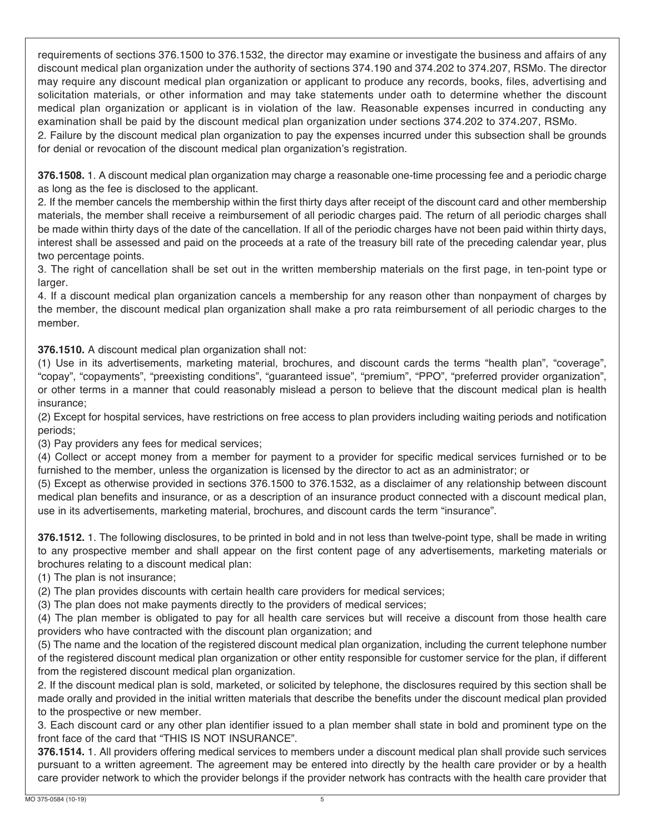requirements of sections 376.1500 to 376.1532, the director may examine or investigate the business and affairs of any discount medical plan organization under the authority of sections 374.190 and 374.202 to 374.207, RSMo. The director may require any discount medical plan organization or applicant to produce any records, books, files, advertising and solicitation materials, or other information and may take statements under oath to determine whether the discount medical plan organization or applicant is in violation of the law. Reasonable expenses incurred in conducting any examination shall be paid by the discount medical plan organization under sections 374.202 to 374.207, RSMo.

2. Failure by the discount medical plan organization to pay the expenses incurred under this subsection shall be grounds for denial or revocation of the discount medical plan organization's registration.

**376.1508.** 1. A discount medical plan organization may charge a reasonable one-time processing fee and a periodic charge as long as the fee is disclosed to the applicant.

2. If the member cancels the membership within the first thirty days after receipt of the discount card and other membership materials, the member shall receive a reimbursement of all periodic charges paid. The return of all periodic charges shall be made within thirty days of the date of the cancellation. If all of the periodic charges have not been paid within thirty days, interest shall be assessed and paid on the proceeds at a rate of the treasury bill rate of the preceding calendar year, plus two percentage points.

3. The right of cancellation shall be set out in the written membership materials on the first page, in ten-point type or larger.

4. If a discount medical plan organization cancels a membership for any reason other than nonpayment of charges by the member, the discount medical plan organization shall make a pro rata reimbursement of all periodic charges to the member.

**376.1510.** A discount medical plan organization shall not:

(1) Use in its advertisements, marketing material, brochures, and discount cards the terms "health plan", "coverage", "copay", "copayments", "preexisting conditions", "guaranteed issue", "premium", "PPO", "preferred provider organization", or other terms in a manner that could reasonably mislead a person to believe that the discount medical plan is health insurance;

(2) Except for hospital services, have restrictions on free access to plan providers including waiting periods and notification periods;

(3) Pay providers any fees for medical services;

(4) Collect or accept money from a member for payment to a provider for specific medical services furnished or to be furnished to the member, unless the organization is licensed by the director to act as an administrator; or

(5) Except as otherwise provided in sections 376.1500 to 376.1532, as a disclaimer of any relationship between discount medical plan benefits and insurance, or as a description of an insurance product connected with a discount medical plan, use in its advertisements, marketing material, brochures, and discount cards the term "insurance".

**376.1512.** 1. The following disclosures, to be printed in bold and in not less than twelve-point type, shall be made in writing to any prospective member and shall appear on the first content page of any advertisements, marketing materials or brochures relating to a discount medical plan:

(1) The plan is not insurance;

(2) The plan provides discounts with certain health care providers for medical services;

(3) The plan does not make payments directly to the providers of medical services;

(4) The plan member is obligated to pay for all health care services but will receive a discount from those health care providers who have contracted with the discount plan organization; and

(5) The name and the location of the registered discount medical plan organization, including the current telephone number of the registered discount medical plan organization or other entity responsible for customer service for the plan, if different from the registered discount medical plan organization.

2. If the discount medical plan is sold, marketed, or solicited by telephone, the disclosures required by this section shall be made orally and provided in the initial written materials that describe the benefits under the discount medical plan provided to the prospective or new member.

3. Each discount card or any other plan identifier issued to a plan member shall state in bold and prominent type on the front face of the card that "THIS IS NOT INSURANCE".

**376.1514.** 1. All providers offering medical services to members under a discount medical plan shall provide such services pursuant to a written agreement. The agreement may be entered into directly by the health care provider or by a health care provider network to which the provider belongs if the provider network has contracts with the health care provider that